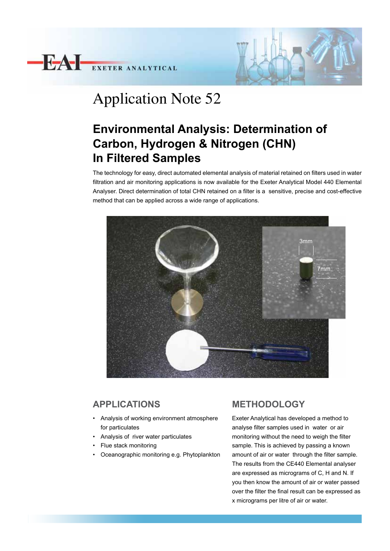



# Application Note 52

# **Environmental Analysis: Determination of Carbon, Hydrogen & Nitrogen (CHN) In Filtered Samples**

The technology for easy, direct automated elemental analysis of material retained on filters used in water filtration and air monitoring applications is now available for the Exeter Analytical Model 440 Elemental Analyser. Direct determination of total CHN retained on a filter is a sensitive, precise and cost-effective method that can be applied across a wide range of applications.



## **APPLICATIONS**

- Analysis of working environment atmosphere for particulates
- Analysis of river water particulates
- Flue stack monitoring
- Oceanographic monitoring e.g. Phytoplankton

### **METHODOLOGY**

Exeter Analytical has developed a method to analyse filter samples used in water or air monitoring without the need to weigh the filter sample. This is achieved by passing a known amount of air or water through the filter sample. The results from the CE440 Elemental analyser are expressed as micrograms of C, H and N. If you then know the amount of air or water passed over the filter the final result can be expressed as x micrograms per litre of air or water.